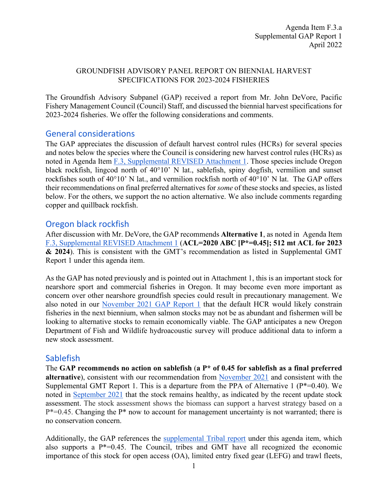#### GROUNDFISH ADVISORY PANEL REPORT ON BIENNIAL HARVEST SPECIFICATIONS FOR 2023-2024 FISHERIES

The Groundfish Advisory Subpanel (GAP) received a report from Mr. John DeVore, Pacific Fishery Management Council (Council) Staff, and discussed the biennial harvest specifications for 2023-2024 fisheries. We offer the following considerations and comments.

#### General considerations

The GAP appreciates the discussion of default harvest control rules (HCRs) for several species and notes below the species where the Council is considering new harvest control rules (HCRs) as noted in Agenda Item [F.3, Supplemental REVISED Attachment 1.](https://www.pcouncil.org/documents/2022/03/f-3-attachment-1-an-excerpt-of-the-analytical-document-with-the-description-of-2023-and-2024-harvest-specifications-and-the-biological-impacts-associated-with-alternative-harvest-specifications-unde.pdf/) Those species include Oregon black rockfish, lingcod north of 40°10' N lat., sablefish, spiny dogfish, vermilion and sunset rockfishes south of 40°10' N lat., and vermilion rockfish north of 40°10' N lat. The GAP offers their recommendations on final preferred alternatives for *some* of these stocks and species, as listed below. For the others, we support the no action alternative. We also include comments regarding copper and quillback rockfish.

#### Oregon black rockfish

After discussion with Mr. DeVore, the GAP recommends **Alternative 1**, as noted in Agenda Item [F.3, Supplemental REVISED Attachment 1](https://www.pcouncil.org/documents/2022/03/f-3-attachment-1-an-excerpt-of-the-analytical-document-with-the-description-of-2023-and-2024-harvest-specifications-and-the-biological-impacts-associated-with-alternative-harvest-specifications-unde.pdf/) (**ACL=2020 ABC [P\*=0.45]; 512 mt ACL for 2023 & 2024**). This is consistent with the GMT's recommendation as listed in Supplemental GMT Report 1 under this agenda item.

As the GAP has noted previously and is pointed out in Attachment 1, this is an important stock for nearshore sport and commercial fisheries in Oregon. It may become even more important as concern over other nearshore groundfish species could result in precautionary management. We also noted in our [November 2021 GAP Report 1](https://www.pcouncil.org/documents/2021/11/e-3-a-supplemental-gap-report-1-2.pdf/) that the default HCR would likely constrain fisheries in the next biennium, when salmon stocks may not be as abundant and fishermen will be looking to alternative stocks to remain economically viable. The GAP anticipates a new Oregon Department of Fish and Wildlife hydroacoustic survey will produce additional data to inform a new stock assessment.

# Sablefish

The **GAP recommends no action on sablefish** (**a P\* of 0.45 for sablefish as a final preferred alternative**), consistent with our recommendation from [November 2021](https://www.pcouncil.org/documents/2021/11/e-3-a-supplemental-gap-report-1-2.pdf/) and consistent with the Supplemental GMT Report 1. This is a departure from the PPA of Alternative 1 ( $P^*=0.40$ ). We noted in [September 2021](https://www.pcouncil.org/documents/2021/09/c-8-a-supplemental-gap-report-1-2.pdf/) that the stock remains healthy, as indicated by the recent update stock assessment. The stock assessment shows the biomass can support a harvest strategy based on a  $P^*=0.45$ . Changing the  $P^*$  now to account for management uncertainty is not warranted; there is no conservation concern.

Additionally, the GAP references the [supplemental Tribal report](https://www.pcouncil.org/documents/2022/04/f-3-a-supplemental-tribal-report-1-joint-testimony-of-the-coastal-treaty-tribes-on-biennial-harvest-specifications-and-management-measures.pdf/) under this agenda item, which also supports a  $P^*=0.45$ . The Council, tribes and GMT have all recognized the economic importance of this stock for open access (OA), limited entry fixed gear (LEFG) and trawl fleets,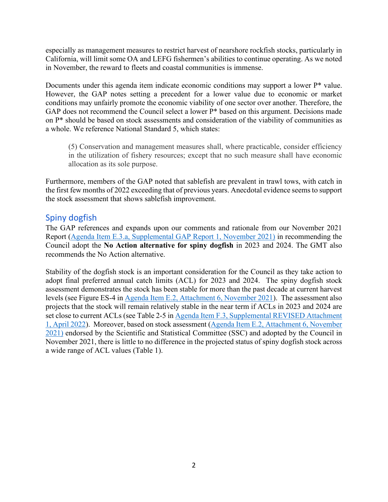especially as management measures to restrict harvest of nearshore rockfish stocks, particularly in California, will limit some OA and LEFG fishermen's abilities to continue operating. As we noted in November, the reward to fleets and coastal communities is immense.

Documents under this agenda item indicate economic conditions may support a lower P\* value. However, the GAP notes setting a precedent for a lower value due to economic or market conditions may unfairly promote the economic viability of one sector over another. Therefore, the GAP does not recommend the Council select a lower P\* based on this argument. Decisions made on P\* should be based on stock assessments and consideration of the viability of communities as a whole. We reference National Standard 5, which states:

(5) Conservation and management measures shall, where practicable, consider efficiency in the utilization of fishery resources; except that no such measure shall have economic allocation as its sole purpose.

Furthermore, members of the GAP noted that sablefish are prevalent in trawl tows, with catch in the first few months of 2022 exceeding that of previous years. Anecdotal evidence seems to support the stock assessment that shows sablefish improvement.

# Spiny dogfish

The GAP references and expands upon our comments and rationale from our November 2021 Report [\(Agenda Item E.3.a, Supplemental GAP Report 1,](https://www.pcouncil.org/documents/2021/11/e-3-a-supplemental-gap-report-1-2.pdf/) November 2021) in recommending the Council adopt the **No Action alternative for spiny dogfish** in 2023 and 2024. The GMT also recommends the No Action alternative.

Stability of the dogfish stock is an important consideration for the Council as they take action to adopt final preferred annual catch limits (ACL) for 2023 and 2024. The spiny dogfish stock assessment demonstrates the stock has been stable for more than the past decade at current harvest levels (see Figure ES-4 in [Agenda Item E.2, Attachment 6, November 2021\)](https://www.pcouncil.org/documents/2021/10/e-2-attachment-6-status-of-the-pacific-spiny-dogfish-shark-resource-off-the-continental-u-s-pacific-coast-in-2021-electronic-only.pdf/). The assessment also projects that the stock will remain relatively stable in the near term if ACLs in 2023 and 2024 are set close to current ACLs (see Table 2-5 i[n Agenda Item F.3, Supplemental REVISED](https://www.pcouncil.org/documents/2022/03/f-3-attachment-1-an-excerpt-of-the-analytical-document-with-the-description-of-2023-and-2024-harvest-specifications-and-the-biological-impacts-associated-with-alternative-harvest-specifications-unde.pdf/) Attachment [1, April 2022\)](https://www.pcouncil.org/documents/2022/03/f-3-attachment-1-an-excerpt-of-the-analytical-document-with-the-description-of-2023-and-2024-harvest-specifications-and-the-biological-impacts-associated-with-alternative-harvest-specifications-unde.pdf/). Moreover, based on stock assessment [\(Agenda Item E.2, Attachment 6, November](https://www.pcouncil.org/documents/2021/10/e-2-attachment-6-status-of-the-pacific-spiny-dogfish-shark-resource-off-the-continental-u-s-pacific-coast-in-2021-electronic-only.pdf/)  [2021\)](https://www.pcouncil.org/documents/2021/10/e-2-attachment-6-status-of-the-pacific-spiny-dogfish-shark-resource-off-the-continental-u-s-pacific-coast-in-2021-electronic-only.pdf/) endorsed by the Scientific and Statistical Committee (SSC) and adopted by the Council in November 2021, there is little to no difference in the projected status of spiny dogfish stock across a wide range of ACL values (Table 1).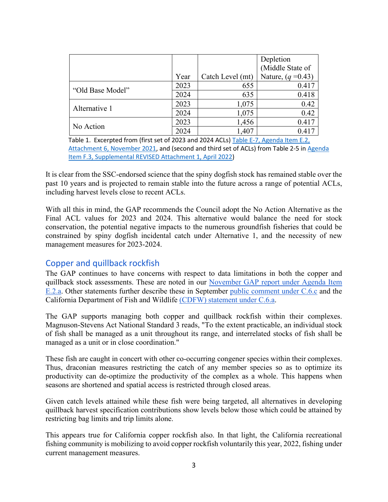|                  |      |                  | Depletion<br>(Middle State of |
|------------------|------|------------------|-------------------------------|
|                  | Year | Catch Level (mt) | Nature, $(q = 0.43)$          |
| "Old Base Model" | 2023 | 655              | 0.417                         |
|                  | 2024 | 635              | 0.418                         |
| Alternative 1    | 2023 | 1,075            | 0.42                          |
|                  | 2024 | 1,075            | 0.42                          |
| No Action        | 2023 | 1,456            | 0.417                         |
|                  | 2024 | 1,407            | 0.417                         |

Table 1. Excerpted from (first set of 2023 and 2024 ACLs) [Table E-7, Agenda Item E.2,](https://www.pcouncil.org/documents/2021/10/e-2-attachment-6-status-of-the-pacific-spiny-dogfish-shark-resource-off-the-continental-u-s-pacific-coast-in-2021-electronic-only.pdf/)  [Attachment 6, November 2021,](https://www.pcouncil.org/documents/2021/10/e-2-attachment-6-status-of-the-pacific-spiny-dogfish-shark-resource-off-the-continental-u-s-pacific-coast-in-2021-electronic-only.pdf/) and (second and third set of ACLs) from Table 2-5 in Agenda [Item F.3, Supplemental REVISED Attachment 1, April 2022\)](https://www.pcouncil.org/documents/2022/03/f-3-attachment-1-an-excerpt-of-the-analytical-document-with-the-description-of-2023-and-2024-harvest-specifications-and-the-biological-impacts-associated-with-alternative-harvest-specifications-unde.pdf/)

It is clear from the SSC-endorsed science that the spiny dogfish stock has remained stable over the past 10 years and is projected to remain stable into the future across a range of potential ACLs, including harvest levels close to recent ACLs.

With all this in mind, the GAP recommends the Council adopt the No Action Alternative as the Final ACL values for 2023 and 2024. This alternative would balance the need for stock conservation, the potential negative impacts to the numerous groundfish fisheries that could be constrained by spiny dogfish incidental catch under Alternative 1, and the necessity of new management measures for 2023-2024.

# Copper and quillback rockfish

The GAP continues to have concerns with respect to data limitations in both the copper and quillback stock assessments. These are noted in our [November GAP report under Agenda Item](https://www.pcouncil.org/documents/2021/11/e-2-a-supplemental-gap-report-1-2.pdf/)  [E.2.a.](https://www.pcouncil.org/documents/2021/11/e-2-a-supplemental-gap-report-1-2.pdf/) Other statements further describe these in September [public comment under C.6.c](https://www.pcouncil.org/documents/2021/09/c-6-c-supplemental-public-presentation-1-meric-mccrea.pdf) and the California Department of Fish and Wildlife [\(CDFW\) statement under C.6.a.](https://www.pcouncil.org/documents/2021/09/c-6-a-supplemental-cdfw-report-1.pdf)

The GAP supports managing both copper and quillback rockfish within their complexes. Magnuson-Stevens Act National Standard 3 reads, "To the extent practicable, an individual stock of fish shall be managed as a unit throughout its range, and interrelated stocks of fish shall be managed as a unit or in close coordination."

These fish are caught in concert with other co-occurring congener species within their complexes. Thus, draconian measures restricting the catch of any member species so as to optimize its productivity can de-optimize the productivity of the complex as a whole. This happens when seasons are shortened and spatial access is restricted through closed areas.

Given catch levels attained while these fish were being targeted, all alternatives in developing quillback harvest specification contributions show levels below those which could be attained by restricting bag limits and trip limits alone.

This appears true for California copper rockfish also. In that light, the California recreational fishing community is mobilizing to avoid copper rockfish voluntarily this year, 2022, fishing under current management measures.